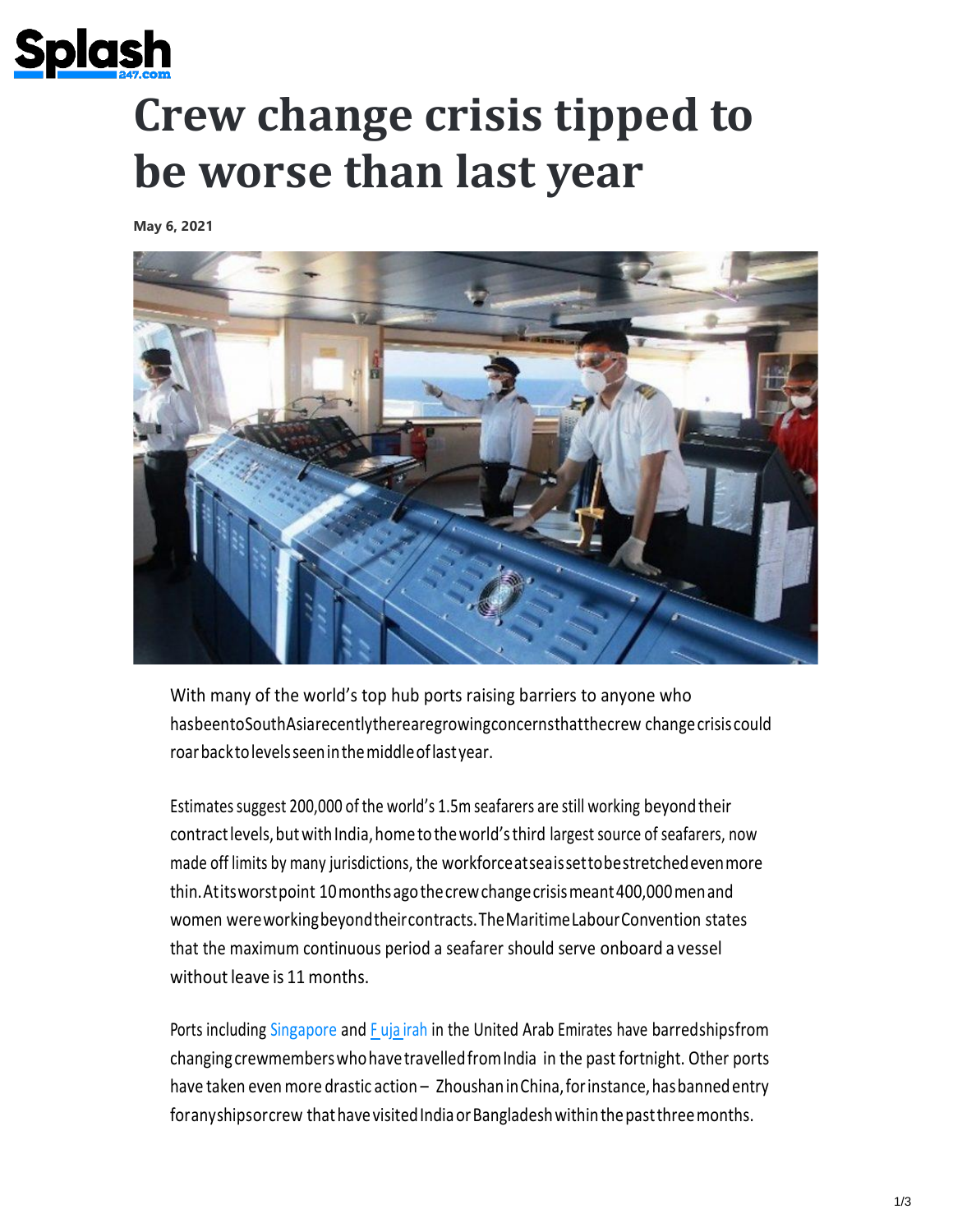

## **Crew change crisis tipped to be worse than last year**

**May 6, 2021**



With many of the world's top hub ports raising barriers to anyone who hasbeentoSouthAsiarecentlytherearegrowingconcernsthatthecrew changecrisis could roarbacktolevelsseeninthemiddleoflastyear.

Estimates suggest 200,000 of the world's 1.5m seafarers are still working beyond their contract levels, but with India, home to the world's third largest source of seafarers, now made off limits by many jurisdictions, the workforceatseaissettobestretchedevenmore thin.Atitsworstpoint 10monthsagothecrewchangecrisismeant400,000menand women wereworkingbeyondtheircontracts.TheMaritimeLabourConvention states that the maximum continuous period a seafarer should serve onboard a vessel without leave is 11 months.

Ports including [Singapore](https://splash247.com/singapore-extends-crew-ban-across-south-asia/) and F uja [irah](https://splash247.com/fujairah-prohibits-crew-changes-for-seafarers-with-recent-travel-to-india/) in the United Arab Emirates have barredshipsfrom changingcrewmemberswhohavetravelledfromIndia in the past fortnight. Other ports have taken even more drastic action - Zhoushan in China, for instance, has banned entry for any shipsor crew that have visited India or Bangladesh within the past three months.